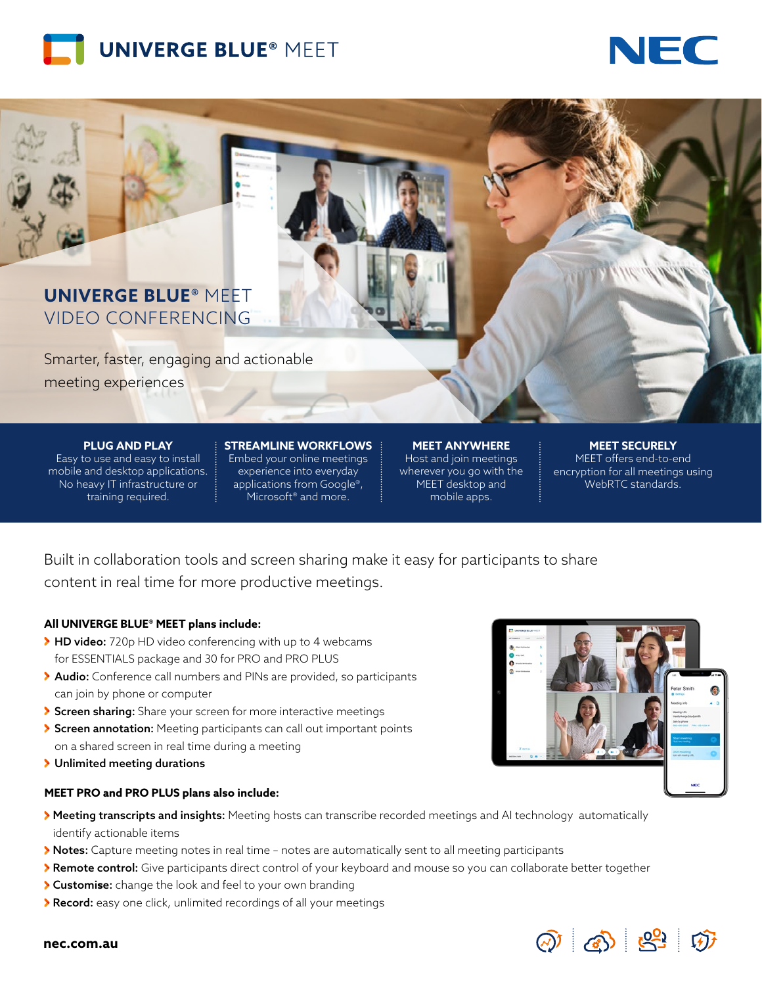



# **UNIVERGE BLUE®** MEET VIDEO CONFERENCING

Smarter, faster, engaging and actionable meeting experiences

**PLUG AND PLAY**

Easy to use and easy to install mobile and desktop applications. No heavy IT infrastructure or training required.

#### **STREAMLINE WORKFLOWS** Embed your online meetings experience into everyday applications from Google®, Microsoft<sup>®</sup> and more.

**MEET ANYWHERE** Host and join meetings wherever you go with the MEET desktop and mobile apps.

#### **MEET SECURELY** MEET offers end-to-end encryption for all meetings using WebRTC standards.

Built in collaboration tools and screen sharing make it easy for participants to share content in real time for more productive meetings.

## **All UNIVERGE BLUE® MEET plans include:**

- ▶ HD video: 720p HD video conferencing with up to 4 webcams for ESSENTIALS package and 30 for PRO and PRO PLUS
- **Audio:** Conference call numbers and PINs are provided, so participants can join by phone or computer
- Screen sharing: Share your screen for more interactive meetings
- Screen annotation: Meeting participants can call out important points on a shared screen in real time during a meeting
- > Unlimited meeting durations

### **MEET PRO and PRO PLUS plans also include:**



- > Meeting transcripts and insights: Meeting hosts can transcribe recorded meetings and AI technology automatically identify actionable items
- Notes: Capture meeting notes in real time notes are automatically sent to all meeting participants
- > Remote control: Give participants direct control of your keyboard and mouse so you can collaborate better together
- Customi**s**e: change the look and feel to your own branding
- Record: easy one click, unlimited recordings of all your meetings